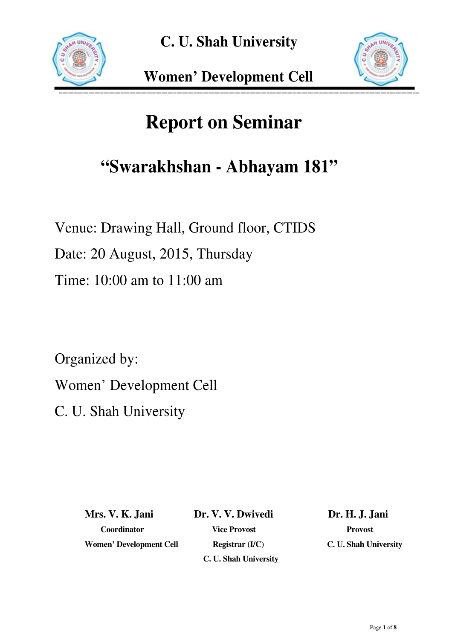



# **Report on Seminar**

## **"Swarakhshan - Abhayam 181"**

Venue: Drawing Hall, Ground floor, CTIDS

Date: 20 August, 2015, Thursday

Time: 10:00 am to 11:00 am

Organized by:

Women' Development Cell

C. U. Shah University

**Mrs. V. K. Jani Dr. V. V. Dwivedi Dr. H. J. Jani**  Women' Development Cell Registrar (I/C) C. U. Shah University

 **Coordinator Vice Provost Provost C. U. Shah University**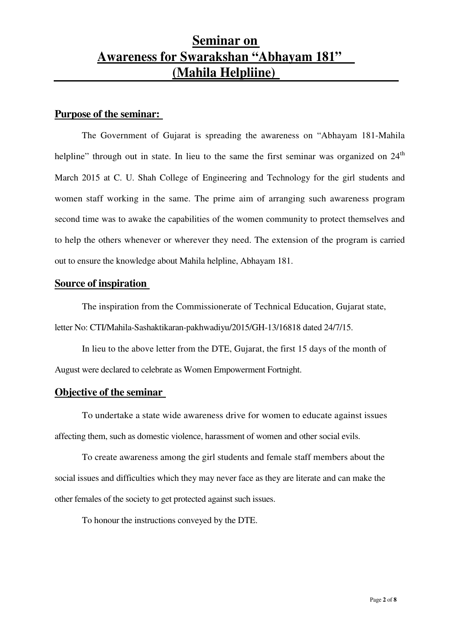### **Seminar on Awareness for Swarakshan "Abhayam 181" (Mahila Helpliine)**

#### **Purpose of the seminar:**

The Government of Gujarat is spreading the awareness on "Abhayam 181-Mahila helpline" through out in state. In lieu to the same the first seminar was organized on  $24<sup>th</sup>$ March 2015 at C. U. Shah College of Engineering and Technology for the girl students and women staff working in the same. The prime aim of arranging such awareness program second time was to awake the capabilities of the women community to protect themselves and to help the others whenever or wherever they need. The extension of the program is carried out to ensure the knowledge about Mahila helpline, Abhayam 181.

#### **Source of inspiration**

The inspiration from the Commissionerate of Technical Education, Gujarat state, letter No: CTI/Mahila-Sashaktikaran-pakhwadiyu/2015/GH-13/16818 dated 24/7/15.

 In lieu to the above letter from the DTE, Gujarat, the first 15 days of the month of August were declared to celebrate as Women Empowerment Fortnight.

#### **Objective of the seminar**

To undertake a state wide awareness drive for women to educate against issues affecting them, such as domestic violence, harassment of women and other social evils.

To create awareness among the girl students and female staff members about the social issues and difficulties which they may never face as they are literate and can make the other females of the society to get protected against such issues.

To honour the instructions conveyed by the DTE.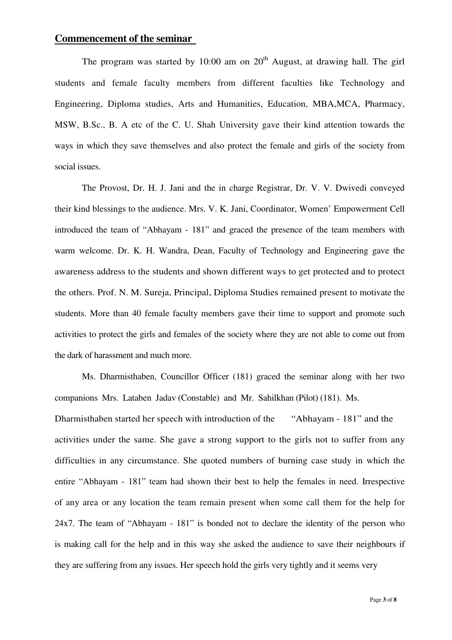#### **Commencement of the seminar**

The program was started by 10:00 am on  $20<sup>th</sup>$  August, at drawing hall. The girl students and female faculty members from different faculties like Technology and Engineering, Diploma studies, Arts and Humanities, Education, MBA,MCA, Pharmacy, MSW, B.Sc., B. A etc of the C. U. Shah University gave their kind attention towards the ways in which they save themselves and also protect the female and girls of the society from social issues.

The Provost, Dr. H. J. Jani and the in charge Registrar, Dr. V. V. Dwivedi conveyed their kind blessings to the audience. Mrs. V. K. Jani, Coordinator, Women' Empowerment Cell introduced the team of "Abhayam - 181" and graced the presence of the team members with warm welcome. Dr. K. H. Wandra, Dean, Faculty of Technology and Engineering gave the awareness address to the students and shown different ways to get protected and to protect the others. Prof. N. M. Sureja, Principal, Diploma Studies remained present to motivate the students. More than 40 female faculty members gave their time to support and promote such activities to protect the girls and females of the society where they are not able to come out from the dark of harassment and much more.

Ms. Dharmisthaben, Councillor Officer (181) graced the seminar along with her two companions Mrs. Lataben Jadav (Constable) and Mr. Sahilkhan (Pilot) (181). Ms. Dharmisthaben started her speech with introduction of the "Abhayam - 181" and the activities under the same. She gave a strong support to the girls not to suffer from any difficulties in any circumstance. She quoted numbers of burning case study in which the entire "Abhayam - 181" team had shown their best to help the females in need. Irrespective of any area or any location the team remain present when some call them for the help for 24x7. The team of "Abhayam - 181" is bonded not to declare the identity of the person who is making call for the help and in this way she asked the audience to save their neighbours if they are suffering from any issues. Her speech hold the girls very tightly and it seems very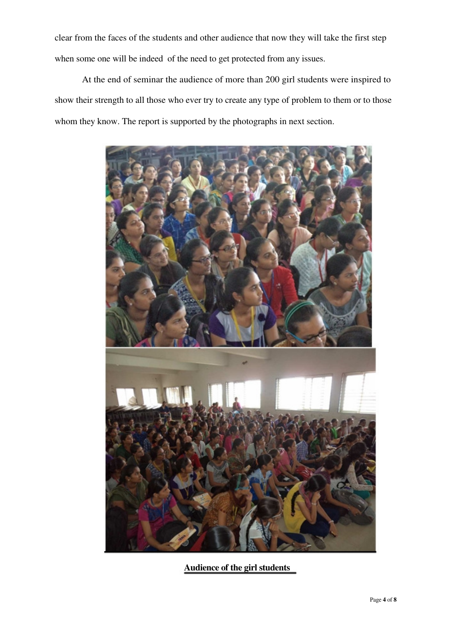clear from the faces of the students and other audience that now they will take the first step when some one will be indeed of the need to get protected from any issues.

At the end of seminar the audience of more than 200 girl students were inspired to show their strength to all those who ever try to create any type of problem to them or to those whom they know. The report is supported by the photographs in next section.



**Audience of the girl students**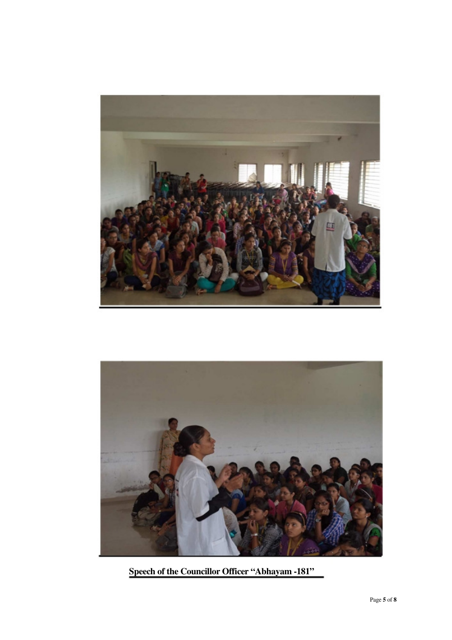



**Speech of the Councillor Officer "Abhayam -181"**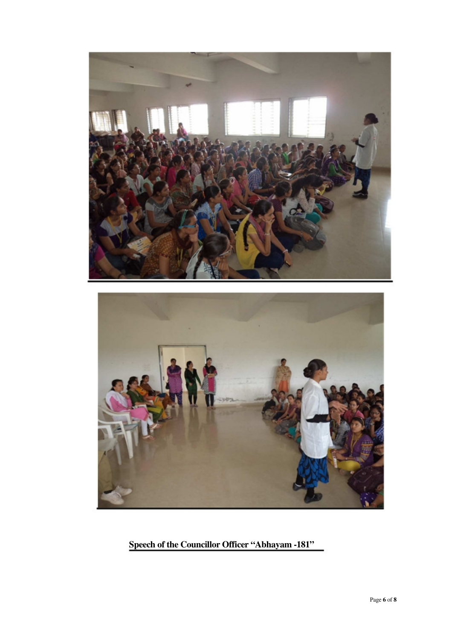

**Speech of the Councillor Officer "Abhayam -181"**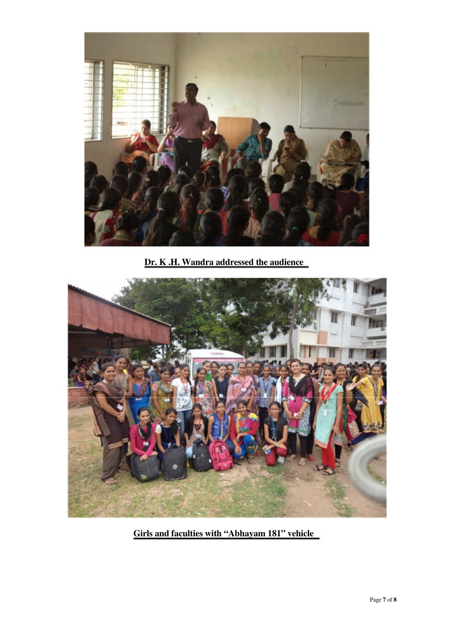

**Dr. K .H. Wandra addressed the audience** 



**Girls and faculties with "Abhayam 181" vehicle**